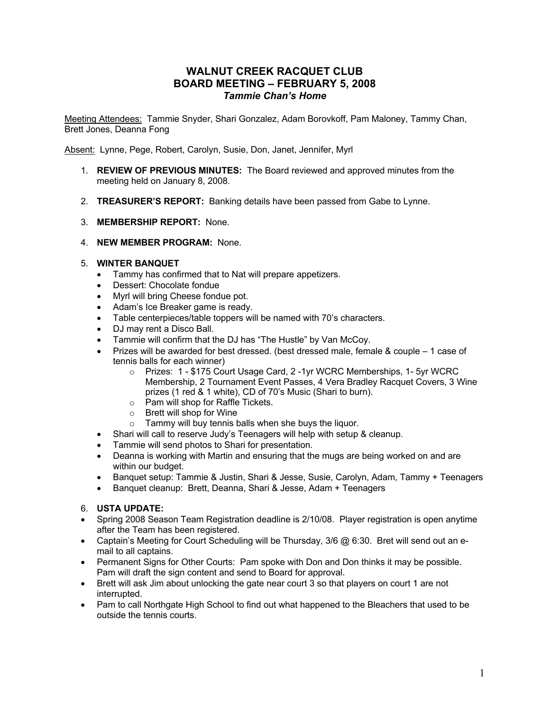## **WALNUT CREEK RACQUET CLUB BOARD MEETING – FEBRUARY 5, 2008** *Tammie Chan's Home*

Meeting Attendees: Tammie Snyder, Shari Gonzalez, Adam Borovkoff, Pam Maloney, Tammy Chan, Brett Jones, Deanna Fong

Absent: Lynne, Pege, Robert, Carolyn, Susie, Don, Janet, Jennifer, Myrl

- 1. **REVIEW OF PREVIOUS MINUTES:**The Board reviewed and approved minutes from the meeting held on January 8, 2008.
- 2. **TREASURER'S REPORT:** Banking details have been passed from Gabe to Lynne.
- 3. **MEMBERSHIP REPORT:** None.
- 4. **NEW MEMBER PROGRAM:** None.
- 5. **WINTER BANQUET**
	- Tammy has confirmed that to Nat will prepare appetizers.
	- Dessert: Chocolate fondue
	- Myrl will bring Cheese fondue pot.
	- Adam's Ice Breaker game is ready.
	- Table centerpieces/table toppers will be named with 70's characters.
	- DJ may rent a Disco Ball.
	- Tammie will confirm that the DJ has "The Hustle" by Van McCoy.
	- Prizes will be awarded for best dressed. (best dressed male, female & couple 1 case of tennis balls for each winner)
		- o Prizes: 1 \$175 Court Usage Card, 2 -1yr WCRC Memberships, 1- 5yr WCRC Membership, 2 Tournament Event Passes, 4 Vera Bradley Racquet Covers, 3 Wine prizes (1 red & 1 white), CD of 70's Music (Shari to burn).
		- o Pam will shop for Raffle Tickets.
		- o Brett will shop for Wine
		- $\circ$  Tammy will buy tennis balls when she buys the liquor.
	- Shari will call to reserve Judy's Teenagers will help with setup & cleanup.
	- Tammie will send photos to Shari for presentation.
	- Deanna is working with Martin and ensuring that the mugs are being worked on and are within our budget.
	- Banquet setup: Tammie & Justin, Shari & Jesse, Susie, Carolyn, Adam, Tammy + Teenagers
	- Banquet cleanup: Brett, Deanna, Shari & Jesse, Adam + Teenagers

## 6. **USTA UPDATE:**

- Spring 2008 Season Team Registration deadline is 2/10/08. Player registration is open anytime after the Team has been registered.
- Captain's Meeting for Court Scheduling will be Thursday,  $3/6$   $@$  6:30. Bret will send out an email to all captains.
- Permanent Signs for Other Courts: Pam spoke with Don and Don thinks it may be possible. Pam will draft the sign content and send to Board for approval.
- Brett will ask Jim about unlocking the gate near court 3 so that players on court 1 are not interrupted.
- Pam to call Northgate High School to find out what happened to the Bleachers that used to be outside the tennis courts.